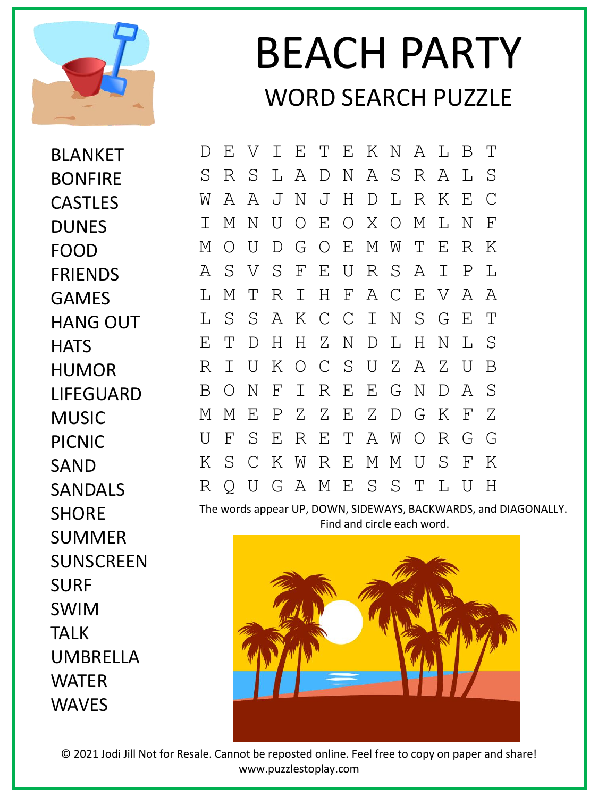

## BEACH PARTY WORD SEARCH PUZZLE

BLANKET BONFIRE CASTLES **DUNES** FOOD FRIENDS GAMES HANG OUT **HATS** HUMOR LIFEGUARD MUSIC PICNIC SAND SANDALS **SHORE** SUMMER SUNSCREEN SURF SWIM TALK UMBRELLA WATER WAVES

D E V I E T E K N A L B T S R S L A D N A S R A L S W A A J N J H D L R K E C I M N U O E O X O M L N F M O U D G O E M W T E R K A S V S F E U R S A I P L L M T R I H F A C E V A A L S S A K C C I N S G E T E T D H H Z N D L H N L S R I U K O C S U Z A Z U B B O N F I R E E G N D A S M M E P Z Z E Z D G K F Z U F S E R E T A W O R G G K S C K W R E M M U S F K R Q U G A M E S S T L U H

The words appear UP, DOWN, SIDEWAYS, BACKWARDS, and DIAGONALLY. Find and circle each word.



© 2021 Jodi Jill Not for Resale. Cannot be reposted online. Feel free to copy on paper and share! www.puzzlestoplay.com